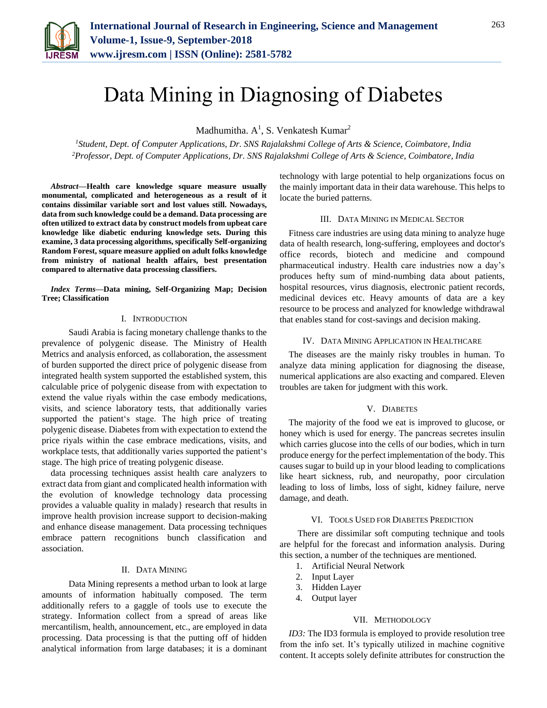

# Data Mining in Diagnosing of Diabetes

Madhumitha.  $A^1$ , S. Venkatesh Kumar<sup>2</sup>

*<sup>1</sup>Student, Dept. of Computer Applications, Dr. SNS Rajalakshmi College of Arts & Science, Coimbatore, India 2Professor, Dept. of Computer Applications, Dr. SNS Rajalakshmi College of Arts & Science, Coimbatore, India*

*Abstract***—Health care knowledge square measure usually monumental, complicated and heterogeneous as a result of it contains dissimilar variable sort and lost values still. Nowadays, data from such knowledge could be a demand. Data processing are often utilized to extract data by construct models from upbeat care knowledge like diabetic enduring knowledge sets. During this examine, 3 data processing algorithms, specifically Self-organizing Random Forest, square measure applied on adult folks knowledge from ministry of national health affairs, best presentation compared to alternative data processing classifiers.**

*Index Terms***—Data mining, Self-Organizing Map; Decision Tree; Classification**

### I. INTRODUCTION

 Saudi Arabia is facing monetary challenge thanks to the prevalence of polygenic disease. The Ministry of Health Metrics and analysis enforced, as collaboration, the assessment of burden supported the direct price of polygenic disease from integrated health system supported the established system, this calculable price of polygenic disease from with expectation to extend the value riyals within the case embody medications, visits, and science laboratory tests, that additionally varies supported the patient's stage. The high price of treating polygenic disease. Diabetes from with expectation to extend the price riyals within the case embrace medications, visits, and workplace tests, that additionally varies supported the patient's stage. The high price of treating polygenic disease.

data processing techniques assist health care analyzers to extract data from giant and complicated health information with the evolution of knowledge technology data processing provides a valuable quality in malady} research that results in improve health provision increase support to decision-making and enhance disease management. Data processing techniques embrace pattern recognitions bunch classification and association.

### II. DATA MINING

 Data Mining represents a method urban to look at large amounts of information habitually composed. The term additionally refers to a gaggle of tools use to execute the strategy. Information collect from a spread of areas like mercantilism, health, announcement, etc., are employed in data processing. Data processing is that the putting off of hidden analytical information from large databases; it is a dominant technology with large potential to help organizations focus on the mainly important data in their data warehouse. This helps to locate the buried patterns.

#### III. DATA MINING IN MEDICAL SECTOR

Fitness care industries are using data mining to analyze huge data of health research, long-suffering, employees and doctor's office records, biotech and medicine and compound pharmaceutical industry. Health care industries now a day's produces hefty sum of mind-numbing data about patients, hospital resources, virus diagnosis, electronic patient records, medicinal devices etc. Heavy amounts of data are a key resource to be process and analyzed for knowledge withdrawal that enables stand for cost-savings and decision making.

#### IV. DATA MINING APPLICATION IN HEALTHCARE

The diseases are the mainly risky troubles in human. To analyze data mining application for diagnosing the disease, numerical applications are also exacting and compared. Eleven troubles are taken for judgment with this work.

#### V. DIABETES

The majority of the food we eat is improved to glucose, or honey which is used for energy. The pancreas secretes insulin which carries glucose into the cells of our bodies, which in turn produce energy for the perfect implementation of the body. This causes sugar to build up in your blood leading to complications like heart sickness, rub, and neuropathy, poor circulation leading to loss of limbs, loss of sight, kidney failure, nerve damage, and death.

## VI. TOOLS USED FOR DIABETES PREDICTION

 There are dissimilar soft computing technique and tools are helpful for the forecast and information analysis. During this section, a number of the techniques are mentioned.

- 1. Artificial Neural Network
- 2. Input Layer
- 3. Hidden Layer
- 4. Output layer

#### VII. METHODOLOGY

*ID3:* The ID3 formula is employed to provide resolution tree from the info set. It's typically utilized in machine cognitive content. It accepts solely definite attributes for construction the